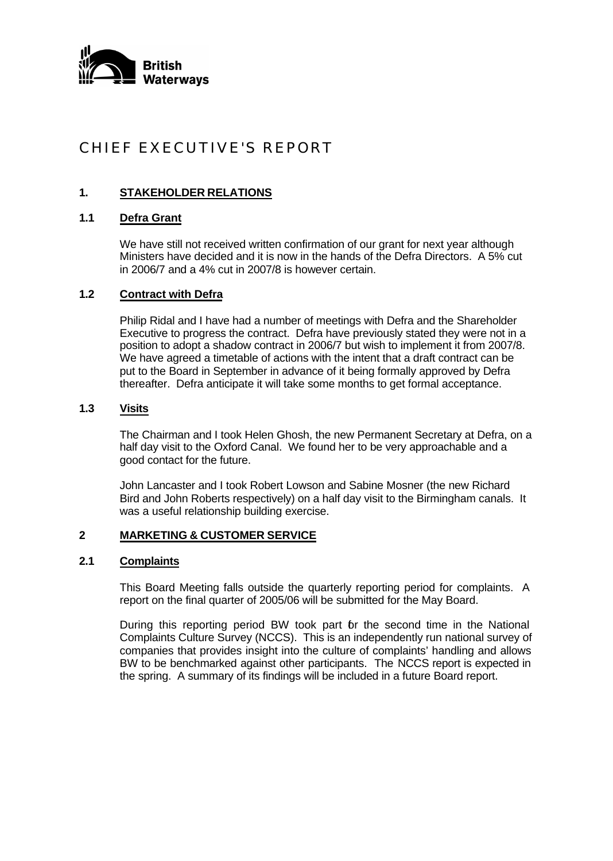

# CHIEF EXECUTIVE'S REPORT

# **1. STAKEHOLDER RELATIONS**

# **1.1 Defra Grant**

We have still not received written confirmation of our grant for next year although Ministers have decided and it is now in the hands of the Defra Directors. A 5% cut in 2006/7 and a 4% cut in 2007/8 is however certain.

## **1.2 Contract with Defra**

Philip Ridal and I have had a number of meetings with Defra and the Shareholder Executive to progress the contract. Defra have previously stated they were not in a position to adopt a shadow contract in 2006/7 but wish to implement it from 2007/8. We have agreed a timetable of actions with the intent that a draft contract can be put to the Board in September in advance of it being formally approved by Defra thereafter. Defra anticipate it will take some months to get formal acceptance.

## **1.3 Visits**

The Chairman and I took Helen Ghosh, the new Permanent Secretary at Defra, on a half day visit to the Oxford Canal. We found her to be very approachable and a good contact for the future.

John Lancaster and I took Robert Lowson and Sabine Mosner (the new Richard Bird and John Roberts respectively) on a half day visit to the Birmingham canals. It was a useful relationship building exercise.

## **2 MARKETING & CUSTOMER SERVICE**

## **2.1 Complaints**

This Board Meeting falls outside the quarterly reporting period for complaints. A report on the final quarter of 2005/06 will be submitted for the May Board.

During this reporting period BW took part for the second time in the National Complaints Culture Survey (NCCS). This is an independently run national survey of companies that provides insight into the culture of complaints' handling and allows BW to be benchmarked against other participants. The NCCS report is expected in the spring. A summary of its findings will be included in a future Board report.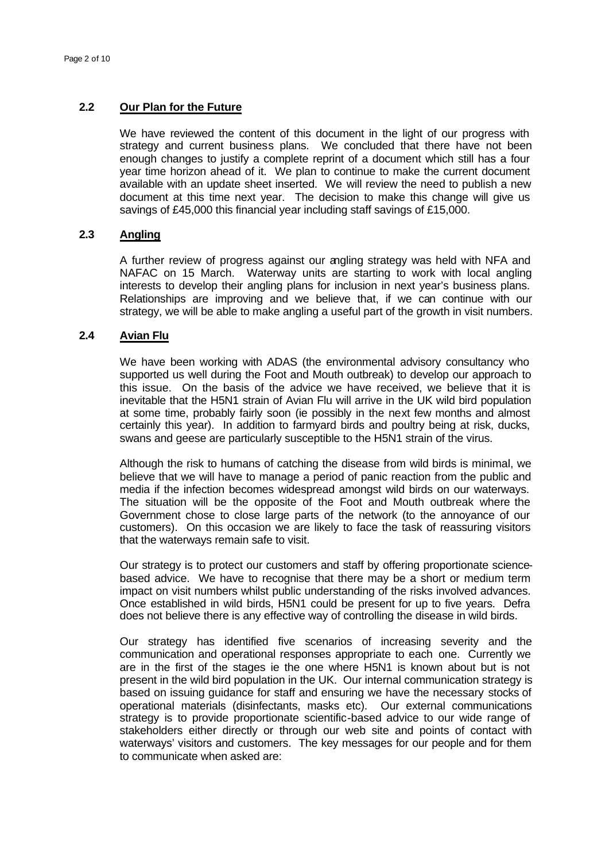## **2.2 Our Plan for the Future**

We have reviewed the content of this document in the light of our progress with strategy and current business plans. We concluded that there have not been enough changes to justify a complete reprint of a document which still has a four year time horizon ahead of it. We plan to continue to make the current document available with an update sheet inserted. We will review the need to publish a new document at this time next year. The decision to make this change will give us savings of £45,000 this financial year including staff savings of £15,000.

# **2.3 Angling**

A further review of progress against our angling strategy was held with NFA and NAFAC on 15 March. Waterway units are starting to work with local angling interests to develop their angling plans for inclusion in next year's business plans. Relationships are improving and we believe that, if we can continue with our strategy, we will be able to make angling a useful part of the growth in visit numbers.

#### **2.4 Avian Flu**

We have been working with ADAS (the environmental advisory consultancy who supported us well during the Foot and Mouth outbreak) to develop our approach to this issue. On the basis of the advice we have received, we believe that it is inevitable that the H5N1 strain of Avian Flu will arrive in the UK wild bird population at some time, probably fairly soon (ie possibly in the next few months and almost certainly this year). In addition to farmyard birds and poultry being at risk, ducks, swans and geese are particularly susceptible to the H5N1 strain of the virus.

Although the risk to humans of catching the disease from wild birds is minimal, we believe that we will have to manage a period of panic reaction from the public and media if the infection becomes widespread amongst wild birds on our waterways. The situation will be the opposite of the Foot and Mouth outbreak where the Government chose to close large parts of the network (to the annoyance of our customers). On this occasion we are likely to face the task of reassuring visitors that the waterways remain safe to visit.

Our strategy is to protect our customers and staff by offering proportionate sciencebased advice. We have to recognise that there may be a short or medium term impact on visit numbers whilst public understanding of the risks involved advances. Once established in wild birds, H5N1 could be present for up to five years. Defra does not believe there is any effective way of controlling the disease in wild birds.

Our strategy has identified five scenarios of increasing severity and the communication and operational responses appropriate to each one. Currently we are in the first of the stages ie the one where H5N1 is known about but is not present in the wild bird population in the UK. Our internal communication strategy is based on issuing guidance for staff and ensuring we have the necessary stocks of operational materials (disinfectants, masks etc). Our external communications strategy is to provide proportionate scientific-based advice to our wide range of stakeholders either directly or through our web site and points of contact with waterways' visitors and customers. The key messages for our people and for them to communicate when asked are: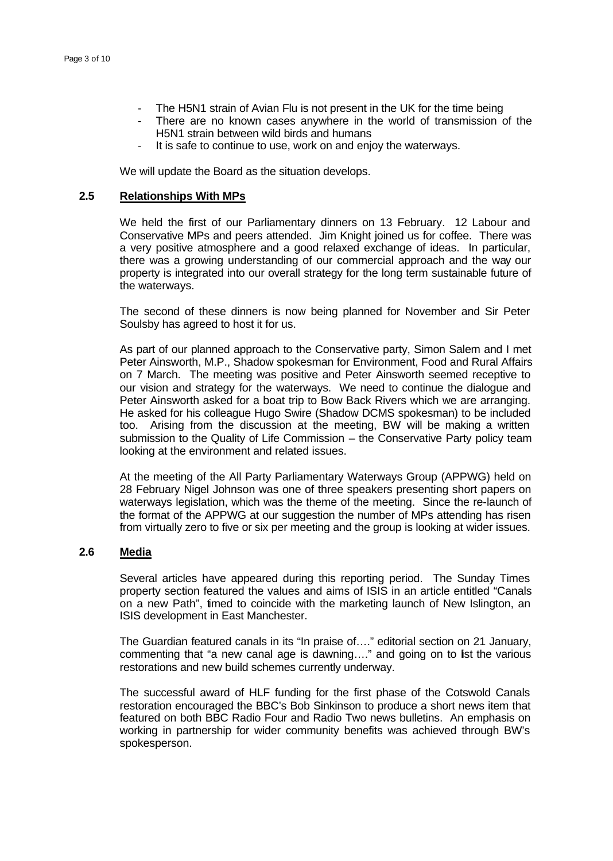- The H5N1 strain of Avian Flu is not present in the UK for the time being
- There are no known cases anywhere in the world of transmission of the H5N1 strain between wild birds and humans
- It is safe to continue to use, work on and enjoy the waterways.

We will update the Board as the situation develops.

#### **2.5 Relationships With MPs**

We held the first of our Parliamentary dinners on 13 February. 12 Labour and Conservative MPs and peers attended. Jim Knight joined us for coffee. There was a very positive atmosphere and a good relaxed exchange of ideas. In particular, there was a growing understanding of our commercial approach and the way our property is integrated into our overall strategy for the long term sustainable future of the waterways.

The second of these dinners is now being planned for November and Sir Peter Soulsby has agreed to host it for us.

As part of our planned approach to the Conservative party, Simon Salem and I met Peter Ainsworth, M.P., Shadow spokesman for Environment, Food and Rural Affairs on 7 March. The meeting was positive and Peter Ainsworth seemed receptive to our vision and strategy for the waterways. We need to continue the dialogue and Peter Ainsworth asked for a boat trip to Bow Back Rivers which we are arranging. He asked for his colleague Hugo Swire (Shadow DCMS spokesman) to be included too. Arising from the discussion at the meeting, BW will be making a written submission to the Quality of Life Commission – the Conservative Party policy team looking at the environment and related issues.

At the meeting of the All Party Parliamentary Waterways Group (APPWG) held on 28 February Nigel Johnson was one of three speakers presenting short papers on waterways legislation, which was the theme of the meeting. Since the re-launch of the format of the APPWG at our suggestion the number of MPs attending has risen from virtually zero to five or six per meeting and the group is looking at wider issues.

## **2.6 Media**

Several articles have appeared during this reporting period. The Sunday Times property section featured the values and aims of ISIS in an article entitled "Canals on a new Path", timed to coincide with the marketing launch of New Islington, an ISIS development in East Manchester.

The Guardian featured canals in its "In praise of…." editorial section on 21 January, commenting that "a new canal age is dawning...." and going on to list the various restorations and new build schemes currently underway.

The successful award of HLF funding for the first phase of the Cotswold Canals restoration encouraged the BBC's Bob Sinkinson to produce a short news item that featured on both BBC Radio Four and Radio Two news bulletins. An emphasis on working in partnership for wider community benefits was achieved through BW's spokesperson.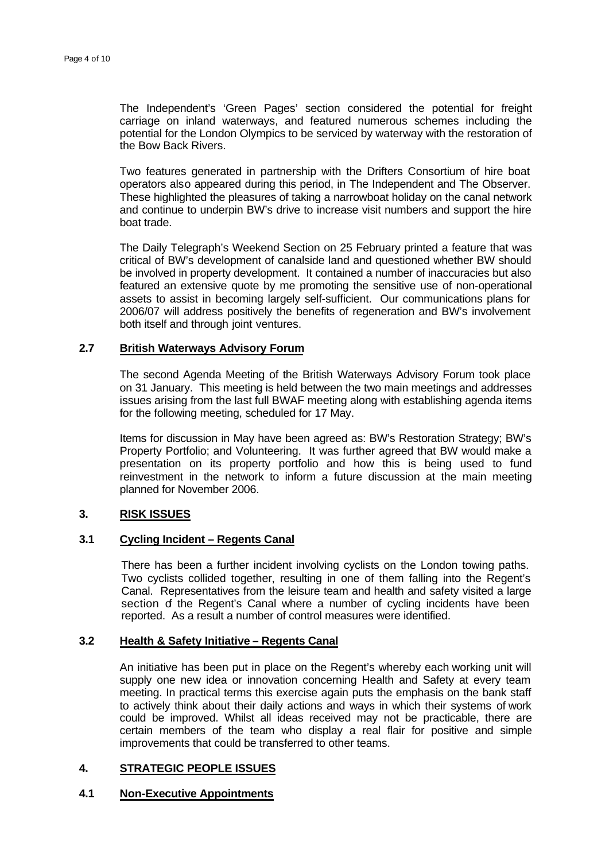The Independent's 'Green Pages' section considered the potential for freight carriage on inland waterways, and featured numerous schemes including the potential for the London Olympics to be serviced by waterway with the restoration of the Bow Back Rivers.

Two features generated in partnership with the Drifters Consortium of hire boat operators also appeared during this period, in The Independent and The Observer. These highlighted the pleasures of taking a narrowboat holiday on the canal network and continue to underpin BW's drive to increase visit numbers and support the hire boat trade.

The Daily Telegraph's Weekend Section on 25 February printed a feature that was critical of BW's development of canalside land and questioned whether BW should be involved in property development. It contained a number of inaccuracies but also featured an extensive quote by me promoting the sensitive use of non-operational assets to assist in becoming largely self-sufficient. Our communications plans for 2006/07 will address positively the benefits of regeneration and BW's involvement both itself and through joint ventures.

# **2.7 British Waterways Advisory Forum**

The second Agenda Meeting of the British Waterways Advisory Forum took place on 31 January. This meeting is held between the two main meetings and addresses issues arising from the last full BWAF meeting along with establishing agenda items for the following meeting, scheduled for 17 May.

Items for discussion in May have been agreed as: BW's Restoration Strategy; BW's Property Portfolio; and Volunteering. It was further agreed that BW would make a presentation on its property portfolio and how this is being used to fund reinvestment in the network to inform a future discussion at the main meeting planned for November 2006.

## **3. RISK ISSUES**

## **3.1 Cycling Incident – Regents Canal**

There has been a further incident involving cyclists on the London towing paths. Two cyclists collided together, resulting in one of them falling into the Regent's Canal. Representatives from the leisure team and health and safety visited a large section of the Regent's Canal where a number of cycling incidents have been reported. As a result a number of control measures were identified.

## **3.2 Health & Safety Initiative – Regents Canal**

An initiative has been put in place on the Regent's whereby each working unit will supply one new idea or innovation concerning Health and Safety at every team meeting. In practical terms this exercise again puts the emphasis on the bank staff to actively think about their daily actions and ways in which their systems of work could be improved. Whilst all ideas received may not be practicable, there are certain members of the team who display a real flair for positive and simple improvements that could be transferred to other teams.

## **4. STRATEGIC PEOPLE ISSUES**

# **4.1 Non-Executive Appointments**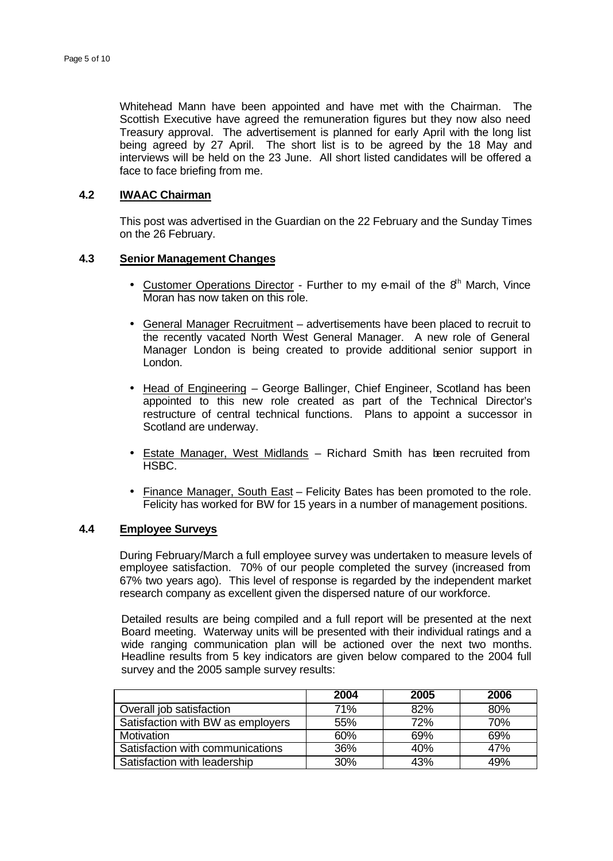Whitehead Mann have been appointed and have met with the Chairman. The Scottish Executive have agreed the remuneration figures but they now also need Treasury approval. The advertisement is planned for early April with the long list being agreed by 27 April. The short list is to be agreed by the 18 May and interviews will be held on the 23 June. All short listed candidates will be offered a face to face briefing from me.

#### **4.2 IWAAC Chairman**

This post was advertised in the Guardian on the 22 February and the Sunday Times on the 26 February.

## **4.3 Senior Management Changes**

- Customer Operations Director Further to my e-mail of the  $8<sup>th</sup>$  March, Vince Moran has now taken on this role.
- General Manager Recruitment advertisements have been placed to recruit to the recently vacated North West General Manager. A new role of General Manager London is being created to provide additional senior support in London.
- Head of Engineering George Ballinger, Chief Engineer, Scotland has been appointed to this new role created as part of the Technical Director's restructure of central technical functions. Plans to appoint a successor in Scotland are underway.
- Estate Manager, West Midlands Richard Smith has been recruited from HSBC.
- Finance Manager, South East Felicity Bates has been promoted to the role. Felicity has worked for BW for 15 years in a number of management positions.

#### **4.4 Employee Surveys**

During February/March a full employee survey was undertaken to measure levels of employee satisfaction. 70% of our people completed the survey (increased from 67% two years ago). This level of response is regarded by the independent market research company as excellent given the dispersed nature of our workforce.

Detailed results are being compiled and a full report will be presented at the next Board meeting. Waterway units will be presented with their individual ratings and a wide ranging communication plan will be actioned over the next two months. Headline results from 5 key indicators are given below compared to the 2004 full survey and the 2005 sample survey results:

|                                   | 2004       | 2005 | 2006 |
|-----------------------------------|------------|------|------|
| Overall job satisfaction          | 71%        | 82%  | 80%  |
| Satisfaction with BW as employers | 55%        | 72%  | 70%  |
| Motivation                        | 60%        | 69%  | 69%  |
| Satisfaction with communications  | 36%        | 40%  | 47%  |
| Satisfaction with leadership      | <b>30%</b> | 43%  | 49%  |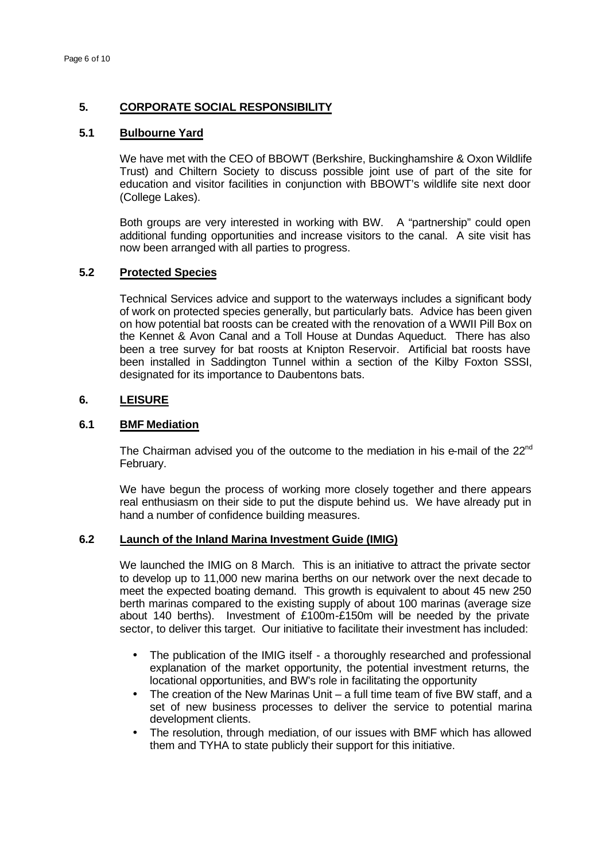## **5. CORPORATE SOCIAL RESPONSIBILITY**

## **5.1 Bulbourne Yard**

We have met with the CEO of BBOWT (Berkshire, Buckinghamshire & Oxon Wildlife Trust) and Chiltern Society to discuss possible joint use of part of the site for education and visitor facilities in conjunction with BBOWT's wildlife site next door (College Lakes).

Both groups are very interested in working with BW. A "partnership" could open additional funding opportunities and increase visitors to the canal. A site visit has now been arranged with all parties to progress.

## **5.2 Protected Species**

Technical Services advice and support to the waterways includes a significant body of work on protected species generally, but particularly bats. Advice has been given on how potential bat roosts can be created with the renovation of a WWII Pill Box on the Kennet & Avon Canal and a Toll House at Dundas Aqueduct. There has also been a tree survey for bat roosts at Knipton Reservoir. Artificial bat roosts have been installed in Saddington Tunnel within a section of the Kilby Foxton SSSI, designated for its importance to Daubentons bats.

#### **6. LEISURE**

#### **6.1 BMF Mediation**

The Chairman advised you of the outcome to the mediation in his e-mail of the 22<sup>nd</sup> February.

We have begun the process of working more closely together and there appears real enthusiasm on their side to put the dispute behind us. We have already put in hand a number of confidence building measures.

#### **6.2 Launch of the Inland Marina Investment Guide (IMIG)**

We launched the IMIG on 8 March. This is an initiative to attract the private sector to develop up to 11,000 new marina berths on our network over the next decade to meet the expected boating demand. This growth is equivalent to about 45 new 250 berth marinas compared to the existing supply of about 100 marinas (average size about 140 berths). Investment of £100m-£150m will be needed by the private sector, to deliver this target. Our initiative to facilitate their investment has included:

- The publication of the IMIG itself a thoroughly researched and professional explanation of the market opportunity, the potential investment returns, the locational opportunities, and BW's role in facilitating the opportunity
- The creation of the New Marinas Unit a full time team of five BW staff, and a set of new business processes to deliver the service to potential marina development clients.
- The resolution, through mediation, of our issues with BMF which has allowed them and TYHA to state publicly their support for this initiative.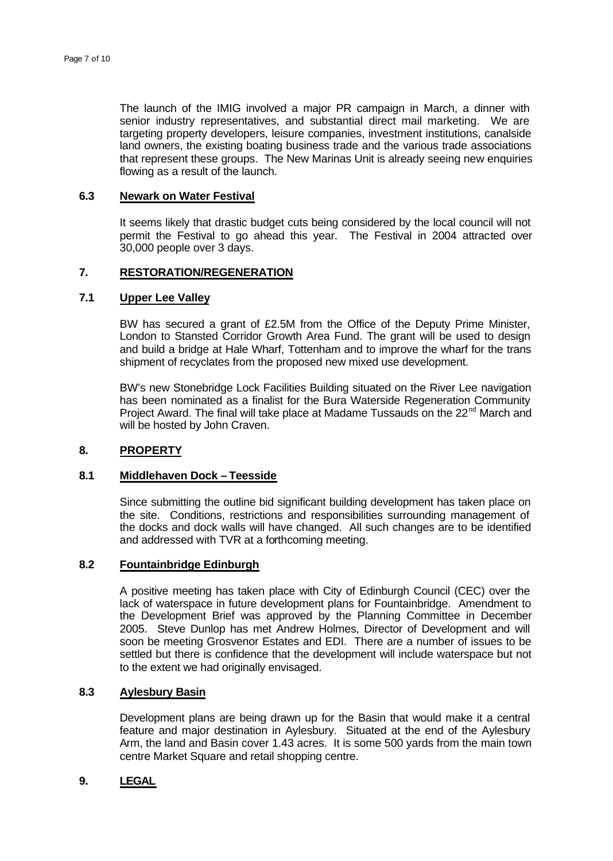The launch of the IMIG involved a major PR campaign in March, a dinner with senior industry representatives, and substantial direct mail marketing. We are targeting property developers, leisure companies, investment institutions, canalside land owners, the existing boating business trade and the various trade associations that represent these groups. The New Marinas Unit is already seeing new enquiries flowing as a result of the launch.

## **6.3 Newark on Water Festival**

It seems likely that drastic budget cuts being considered by the local council will not permit the Festival to go ahead this year. The Festival in 2004 attracted over 30,000 people over 3 days.

## **7. RESTORATION/REGENERATION**

# **7.1 Upper Lee Valley**

BW has secured a grant of £2.5M from the Office of the Deputy Prime Minister, London to Stansted Corridor Growth Area Fund. The grant will be used to design and build a bridge at Hale Wharf, Tottenham and to improve the wharf for the trans shipment of recyclates from the proposed new mixed use development.

BW's new Stonebridge Lock Facilities Building situated on the River Lee navigation has been nominated as a finalist for the Bura Waterside Regeneration Community Project Award. The final will take place at Madame Tussauds on the 22<sup>nd</sup> March and will be hosted by John Craven.

#### **8. PROPERTY**

#### **8.1 Middlehaven Dock – Teesside**

Since submitting the outline bid significant building development has taken place on the site. Conditions, restrictions and responsibilities surrounding management of the docks and dock walls will have changed. All such changes are to be identified and addressed with TVR at a forthcoming meeting.

## **8.2 Fountainbridge Edinburgh**

A positive meeting has taken place with City of Edinburgh Council (CEC) over the lack of waterspace in future development plans for Fountainbridge. Amendment to the Development Brief was approved by the Planning Committee in December 2005. Steve Dunlop has met Andrew Holmes, Director of Development and will soon be meeting Grosvenor Estates and EDI. There are a number of issues to be settled but there is confidence that the development will include waterspace but not to the extent we had originally envisaged.

#### **8.3 Aylesbury Basin**

Development plans are being drawn up for the Basin that would make it a central feature and major destination in Aylesbury. Situated at the end of the Aylesbury Arm, the land and Basin cover 1.43 acres. It is some 500 yards from the main town centre Market Square and retail shopping centre.

## **9. LEGAL**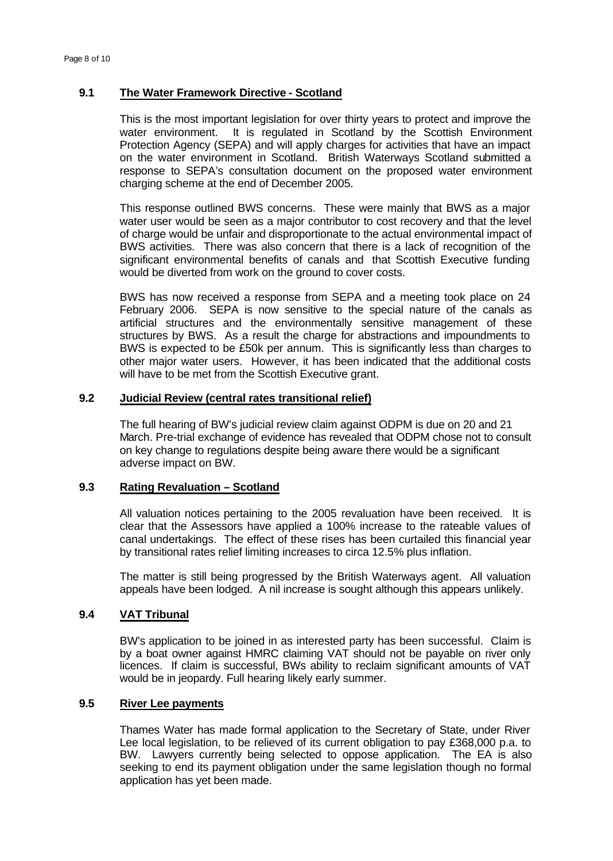## **9.1 The Water Framework Directive - Scotland**

This is the most important legislation for over thirty years to protect and improve the water environment. It is regulated in Scotland by the Scottish Environment Protection Agency (SEPA) and will apply charges for activities that have an impact on the water environment in Scotland. British Waterways Scotland submitted a response to SEPA's consultation document on the proposed water environment charging scheme at the end of December 2005.

This response outlined BWS concerns. These were mainly that BWS as a major water user would be seen as a major contributor to cost recovery and that the level of charge would be unfair and disproportionate to the actual environmental impact of BWS activities. There was also concern that there is a lack of recognition of the significant environmental benefits of canals and that Scottish Executive funding would be diverted from work on the ground to cover costs.

BWS has now received a response from SEPA and a meeting took place on 24 February 2006. SEPA is now sensitive to the special nature of the canals as artificial structures and the environmentally sensitive management of these structures by BWS. As a result the charge for abstractions and impoundments to BWS is expected to be £50k per annum. This is significantly less than charges to other major water users. However, it has been indicated that the additional costs will have to be met from the Scottish Executive grant.

# **9.2 Judicial Review (central rates transitional relief)**

The full hearing of BW's judicial review claim against ODPM is due on 20 and 21 March. Pre-trial exchange of evidence has revealed that ODPM chose not to consult on key change to regulations despite being aware there would be a significant adverse impact on BW.

## **9.3 Rating Revaluation – Scotland**

All valuation notices pertaining to the 2005 revaluation have been received. It is clear that the Assessors have applied a 100% increase to the rateable values of canal undertakings. The effect of these rises has been curtailed this financial year by transitional rates relief limiting increases to circa 12.5% plus inflation.

The matter is still being progressed by the British Waterways agent. All valuation appeals have been lodged. A nil increase is sought although this appears unlikely.

# **9.4 VAT Tribunal**

BW's application to be joined in as interested party has been successful. Claim is by a boat owner against HMRC claiming VAT should not be payable on river only licences. If claim is successful, BWs ability to reclaim significant amounts of VAT would be in jeopardy. Full hearing likely early summer.

## **9.5 River Lee payments**

Thames Water has made formal application to the Secretary of State, under River Lee local legislation, to be relieved of its current obligation to pay £368,000 p.a. to BW. Lawyers currently being selected to oppose application. The EA is also seeking to end its payment obligation under the same legislation though no formal application has yet been made.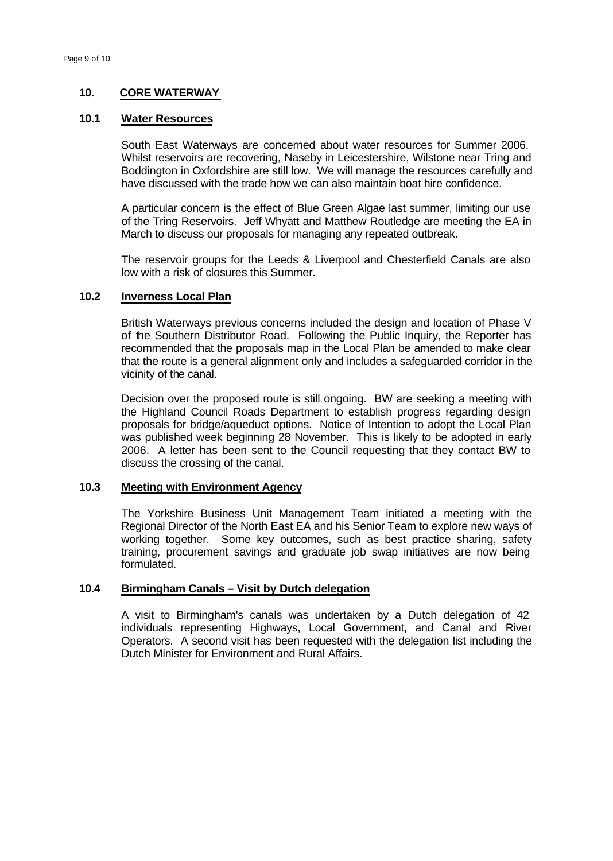# **10. CORE WATERWAY**

## **10.1 Water Resources**

South East Waterways are concerned about water resources for Summer 2006. Whilst reservoirs are recovering, Naseby in Leicestershire, Wilstone near Tring and Boddington in Oxfordshire are still low. We will manage the resources carefully and have discussed with the trade how we can also maintain boat hire confidence.

A particular concern is the effect of Blue Green Algae last summer, limiting our use of the Tring Reservoirs. Jeff Whyatt and Matthew Routledge are meeting the EA in March to discuss our proposals for managing any repeated outbreak.

The reservoir groups for the Leeds & Liverpool and Chesterfield Canals are also low with a risk of closures this Summer.

# **10.2 Inverness Local Plan**

British Waterways previous concerns included the design and location of Phase V of the Southern Distributor Road. Following the Public Inquiry, the Reporter has recommended that the proposals map in the Local Plan be amended to make clear that the route is a general alignment only and includes a safeguarded corridor in the vicinity of the canal.

Decision over the proposed route is still ongoing. BW are seeking a meeting with the Highland Council Roads Department to establish progress regarding design proposals for bridge/aqueduct options. Notice of Intention to adopt the Local Plan was published week beginning 28 November. This is likely to be adopted in early 2006. A letter has been sent to the Council requesting that they contact BW to discuss the crossing of the canal.

## **10.3 Meeting with Environment Agency**

The Yorkshire Business Unit Management Team initiated a meeting with the Regional Director of the North East EA and his Senior Team to explore new ways of working together. Some key outcomes, such as best practice sharing, safety training, procurement savings and graduate job swap initiatives are now being formulated.

# **10.4 Birmingham Canals – Visit by Dutch delegation**

A visit to Birmingham's canals was undertaken by a Dutch delegation of 42 individuals representing Highways, Local Government, and Canal and River Operators. A second visit has been requested with the delegation list including the Dutch Minister for Environment and Rural Affairs.